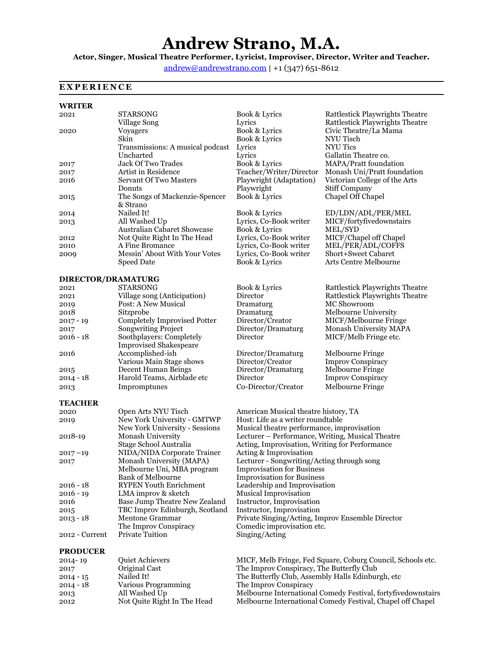# **Andrew Strano, M.A.**

**Actor, Singer, Musical Theatre Performer, Lyricist, Improviser, Director, Writer and Teacher.** 

[andrew@andrewstrano.com](mailto:andrew@andrewstrano.com) **|** +1 (347) 651-8612

## **EXPERIENCE**

### **WRITER**

| 2021               | <b>STARSONG</b><br>Village Song                           | Book & Lyrics<br>Lyrics                                      | Rattlestick Playwrights Theatre<br><b>Rattlestick Playwrights Theatre</b> |
|--------------------|-----------------------------------------------------------|--------------------------------------------------------------|---------------------------------------------------------------------------|
| 2020               | <b>Voyagers</b><br>Skin                                   | Book & Lyrics<br>Book & Lyrics                               | Civic Theatre/La Mama<br>NYU Tisch                                        |
|                    | Transmissions: A musical podcast                          | Lyrics                                                       | <b>NYU Tics</b>                                                           |
|                    | Uncharted                                                 | Lyrics                                                       | Gallatin Theatre co.                                                      |
| 2017               | Jack Of Two Trades                                        | Book & Lyrics                                                | MAPA/Pratt foundation                                                     |
| 2017               | Artist in Residence                                       | Teacher/Writer/Director                                      | Monash Uni/Pratt foundation                                               |
| 2016               | <b>Servant Of Two Masters</b>                             | Playwright (Adaptation)                                      | Victorian College of the Arts                                             |
|                    | Donuts                                                    | Playwright                                                   | <b>Stiff Company</b>                                                      |
| 2015               | The Songs of Mackenzie-Spencer<br>& Strano                | Book & Lyrics                                                | Chapel Off Chapel                                                         |
| 2014               | Nailed It!                                                | <b>Book &amp; Lyrics</b>                                     | ED/LDN/ADL/PER/MEL                                                        |
| 2013               | All Washed Up                                             | Lyrics, Co-Book writer                                       | MICF/fortyfivedownstairs                                                  |
|                    | Australian Cabaret Showcase                               | Book & Lyrics                                                | MEL/SYD                                                                   |
| 2012               | Not Quite Right In The Head                               | Lyrics, Co-Book writer                                       | MICF/Chapel off Chapel                                                    |
| 2010               | A Fine Bromance                                           | Lyrics, Co-Book writer                                       | MEL/PER/ADL/COFFS                                                         |
| 2009               | Messin' About With Your Votes                             | Lyrics, Co-Book writer                                       | <b>Short+Sweet Cabaret</b>                                                |
|                    | Speed Date                                                | Book & Lyrics                                                | Arts Centre Melbourne                                                     |
|                    |                                                           |                                                              |                                                                           |
| DIRECTOR/DRAMATURG |                                                           |                                                              |                                                                           |
| 2021               | <b>STARSONG</b>                                           | Book & Lyrics                                                | Rattlestick Playwrights Theatre                                           |
| 2021               | Village song (Anticipation)                               | Director                                                     | Rattlestick Playwrights Theatre                                           |
| 2019               | Post: A New Musical                                       | Dramaturg                                                    | MC Showroom                                                               |
| 2018               | Sitzprobe                                                 | Dramaturg                                                    | Melbourne University                                                      |
| $2017 - 19$        | <b>Completely Improvised Potter</b>                       | Director/Creator                                             | MICF/Melbourne Fringe                                                     |
| 2017               | Songwriting Project                                       | Director/Dramaturg                                           | Monash University MAPA                                                    |
| $2016 - 18$        | Soothplayers: Completely<br><b>Improvised Shakespeare</b> | Director                                                     | MICF/Melb Fringe etc.                                                     |
| 2016               | Accomplished-ish                                          | Director/Dramaturg                                           | Melbourne Fringe                                                          |
|                    | Various Main Stage shows                                  | Director/Creator                                             | <b>Improv Conspiracy</b>                                                  |
| 2015               | Decent Human Beings                                       | Director/Dramaturg                                           | Melbourne Fringe                                                          |
| $2014 - 18$        | Harold Teams, Airblade etc                                | Director                                                     | <b>Improv Conspiracy</b>                                                  |
| 2013               | Impromptunes                                              | Co-Director/Creator                                          | Melbourne Fringe                                                          |
|                    |                                                           |                                                              |                                                                           |
| <b>TEACHER</b>     |                                                           |                                                              |                                                                           |
| 2020               | Open Arts NYU Tisch                                       | American Musical theatre history, TA                         |                                                                           |
| 2019               | New York University - GMTWP                               | Host: Life as a writer roundtable                            |                                                                           |
|                    | New York University - Sessions                            | Musical theatre performance, improvisation                   |                                                                           |
| 2018-19            | Monash University                                         | Lecturer - Performance, Writing, Musical Theatre             |                                                                           |
|                    | Stage School Australia                                    | Acting, Improvisation, Writing for Performance               |                                                                           |
| $2017 - 19$        | NIDA/NIDA Corporate Trainer                               | Acting & Improvisation                                       |                                                                           |
| 2017               | Monash University (MAPA)                                  | Lecturer - Songwriting/Acting through song                   |                                                                           |
|                    | Melbourne Uni, MBA program                                | <b>Improvisation for Business</b>                            |                                                                           |
|                    | <b>Bank of Melbourne</b>                                  | <b>Improvisation for Business</b>                            |                                                                           |
| 2016 - 18          | <b>RYPEN Youth Enrichment</b>                             | Leadership and Improvisation                                 |                                                                           |
| $2016 - 19$        | LMA improv & sketch                                       | Musical Improvisation                                        |                                                                           |
| 2016               | Base Jump Theatre New Zealand                             | Instructor, Improvisation                                    |                                                                           |
| 2015               | TBC Improv Edinburgh, Scotland                            | Instructor, Improvisation                                    |                                                                           |
| $2013 - 18$        | Mentone Grammar                                           | Private Singing/Acting, Improv Ensemble Director             |                                                                           |
|                    | The Improv Conspiracy                                     | Comedic improvisation etc.                                   |                                                                           |
| 2012 - Current     | <b>Private Tuition</b>                                    | Singing/Acting                                               |                                                                           |
| <b>PRODUCER</b>    |                                                           |                                                              |                                                                           |
| 2014-19            | Quiet Achievers                                           |                                                              | MICF, Melb Fringe, Fed Square, Coburg Council, Schools etc.               |
| 2017               | Original Cast                                             | The Improv Conspiracy, The Butterfly Club                    |                                                                           |
| $2014 - 15$        | Nailed It!                                                | The Butterfly Club, Assembly Halls Edinburgh, etc.           |                                                                           |
| $2014 - 18$        | Various Programming                                       | The Improv Conspiracy                                        |                                                                           |
|                    | All Washed Up                                             | Melbourne International Comedy Festival, fortyfivedownstairs |                                                                           |
| 2013<br>2012       | Not Quite Right In The Head                               | Melbourne International Comedy Festival, Chapel off Chapel   |                                                                           |
|                    |                                                           |                                                              |                                                                           |